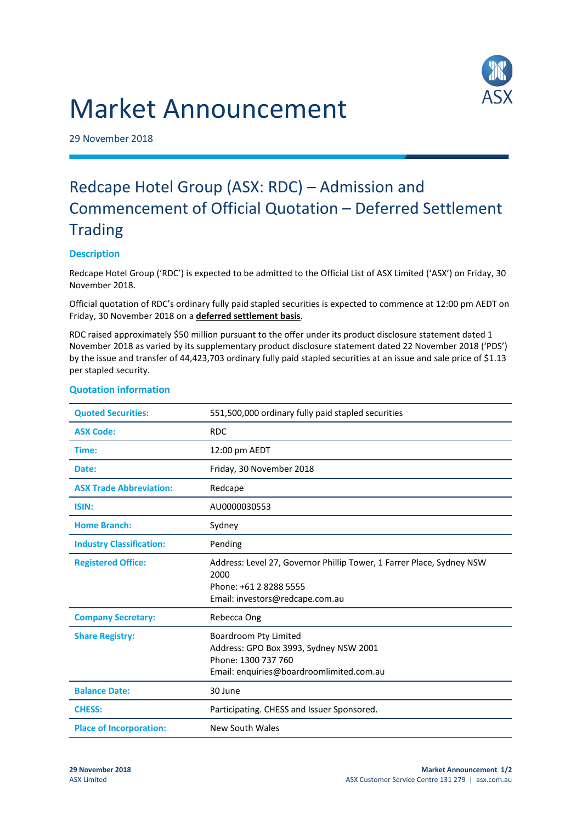# Market Announcement



29 November 2018

## Redcape Hotel Group (ASX: RDC) – Admission and Commencement of Official Quotation – Deferred Settlement **Trading**

### **Description**

Redcape Hotel Group ('RDC') is expected to be admitted to the Official List of ASX Limited ('ASX') on Friday, 30 November 2018.

Official quotation of RDC's ordinary fully paid stapled securities is expected to commence at 12:00 pm AEDT on Friday, 30 November 2018 on a **deferred settlement basis**.

RDC raised approximately \$50 million pursuant to the offer under its product disclosure statement dated 1 November 2018 as varied by its supplementary product disclosure statement dated 22 November 2018 ('PDS') by the issue and transfer of 44,423,703 ordinary fully paid stapled securities at an issue and sale price of \$1.13 per stapled security.

| <b>Quoted Securities:</b>       | 551,500,000 ordinary fully paid stapled securities                                                                                         |
|---------------------------------|--------------------------------------------------------------------------------------------------------------------------------------------|
| <b>ASX Code:</b>                | <b>RDC</b>                                                                                                                                 |
| Time:                           | 12:00 pm AEDT                                                                                                                              |
| Date:                           | Friday, 30 November 2018                                                                                                                   |
| <b>ASX Trade Abbreviation:</b>  | Redcape                                                                                                                                    |
| ISIN:                           | AU0000030553                                                                                                                               |
| <b>Home Branch:</b>             | Sydney                                                                                                                                     |
| <b>Industry Classification:</b> | Pending                                                                                                                                    |
| <b>Registered Office:</b>       | Address: Level 27, Governor Phillip Tower, 1 Farrer Place, Sydney NSW<br>2000<br>Phone: +61 2 8288 5555<br>Email: investors@redcape.com.au |
| <b>Company Secretary:</b>       | Rebecca Ong                                                                                                                                |
| <b>Share Registry:</b>          | Boardroom Pty Limited<br>Address: GPO Box 3993, Sydney NSW 2001<br>Phone: 1300 737 760<br>Email: enquiries@boardroomlimited.com.au         |
| <b>Balance Date:</b>            | 30 June                                                                                                                                    |
| <b>CHESS:</b>                   | Participating. CHESS and Issuer Sponsored.                                                                                                 |
| <b>Place of Incorporation:</b>  | New South Wales                                                                                                                            |

#### **Quotation information**